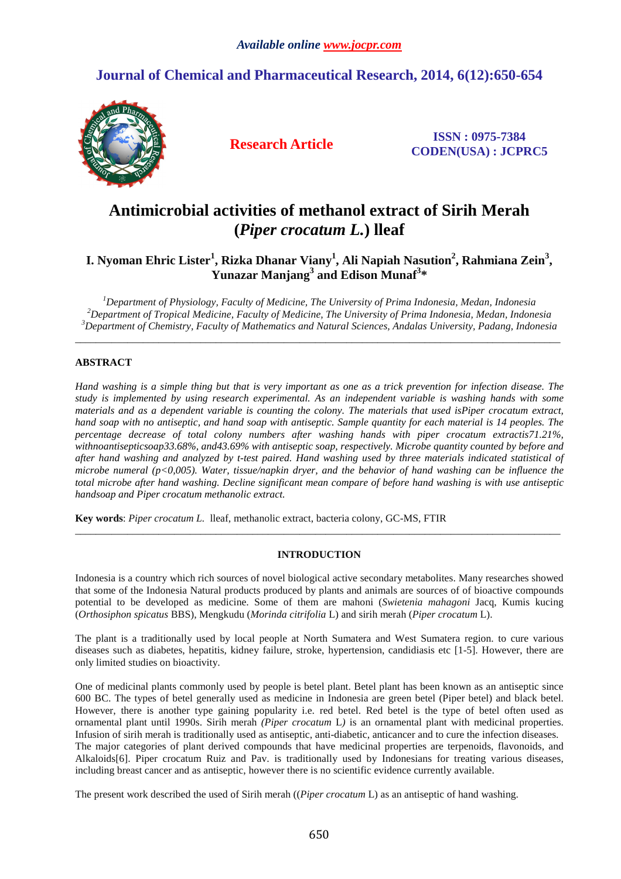## **Journal of Chemical and Pharmaceutical Research, 2014, 6(12):650-654**



**Research Article ISSN : 0975-7384 CODEN(USA) : JCPRC5**

# **Antimicrobial activities of methanol extract of Sirih Merah (***Piper crocatum L.***) lleaf**

### **I. Nyoman Ehric Lister<sup>1</sup> , Rizka Dhanar Viany<sup>1</sup> , Ali Napiah Nasution<sup>2</sup> , Rahmiana Zein<sup>3</sup> , Yunazar Manjang<sup>3</sup> and Edison Munaf<sup>3</sup> \***

*<sup>1</sup>Department of Physiology, Faculty of Medicine, The University of Prima Indonesia, Medan, Indonesia <sup>2</sup>Department of Tropical Medicine, Faculty of Medicine, The University of Prima Indonesia, Medan, Indonesia <sup>3</sup>Department of Chemistry, Faculty of Mathematics and Natural Sciences, Andalas University, Padang, Indonesia* 

\_\_\_\_\_\_\_\_\_\_\_\_\_\_\_\_\_\_\_\_\_\_\_\_\_\_\_\_\_\_\_\_\_\_\_\_\_\_\_\_\_\_\_\_\_\_\_\_\_\_\_\_\_\_\_\_\_\_\_\_\_\_\_\_\_\_\_\_\_\_\_\_\_\_\_\_\_\_\_\_\_\_\_\_\_\_\_\_\_\_\_\_\_

#### **ABSTRACT**

*Hand washing is a simple thing but that is very important as one as a trick prevention for infection disease. The study is implemented by using research experimental. As an independent variable is washing hands with some materials and as a dependent variable is counting the colony. The materials that used isPiper crocatum extract, hand soap with no antiseptic, and hand soap with antiseptic. Sample quantity for each material is 14 peoples. The percentage decrease of total colony numbers after washing hands with piper crocatum extractis71.21%, withnoantisepticsoap33.68%, and43.69% with antiseptic soap, respectively. Microbe quantity counted by before and after hand washing and analyzed by t-test paired. Hand washing used by three materials indicated statistical of microbe numeral (p<0,005). Water, tissue/napkin dryer, and the behavior of hand washing can be influence the total microbe after hand washing. Decline significant mean compare of before hand washing is with use antiseptic handsoap and Piper crocatum methanolic extract.* 

**Key words**: *Piper crocatum L.* lleaf, methanolic extract, bacteria colony, GC-MS, FTIR

#### **INTRODUCTION**

\_\_\_\_\_\_\_\_\_\_\_\_\_\_\_\_\_\_\_\_\_\_\_\_\_\_\_\_\_\_\_\_\_\_\_\_\_\_\_\_\_\_\_\_\_\_\_\_\_\_\_\_\_\_\_\_\_\_\_\_\_\_\_\_\_\_\_\_\_\_\_\_\_\_\_\_\_\_\_\_\_\_\_\_\_\_\_\_\_\_\_\_\_

Indonesia is a country which rich sources of novel biological active secondary metabolites. Many researches showed that some of the Indonesia Natural products produced by plants and animals are sources of of bioactive compounds potential to be developed as medicine. Some of them are mahoni (*Swietenia mahagoni* Jacq, Kumis kucing (*Orthosiphon spicatus* BBS), Mengkudu (*Morinda citrifolia* L) and sirih merah (*Piper crocatum* L).

The plant is a traditionally used by local people at North Sumatera and West Sumatera region. to cure various diseases such as diabetes, hepatitis, kidney failure, stroke, hypertension, candidiasis etc [1-5]. However, there are only limited studies on bioactivity.

One of medicinal plants commonly used by people is betel plant. Betel plant has been known as an antiseptic since 600 BC. The types of betel generally used as medicine in Indonesia are green betel (Piper betel) and black betel. However, there is another type gaining popularity i.e. red betel. Red betel is the type of betel often used as ornamental plant until 1990s. Sirih merah *(Piper crocatum* L*)* is an ornamental plant with medicinal properties. Infusion of sirih merah is traditionally used as antiseptic, anti-diabetic, anticancer and to cure the infection diseases. The major categories of plant derived compounds that have medicinal properties are terpenoids, flavonoids, and Alkaloids[6]. Piper crocatum Ruiz and Pav. is traditionally used by Indonesians for treating various diseases, including breast cancer and as antiseptic, however there is no scientific evidence currently available.

The present work described the used of Sirih merah ((*Piper crocatum* L) as an antiseptic of hand washing.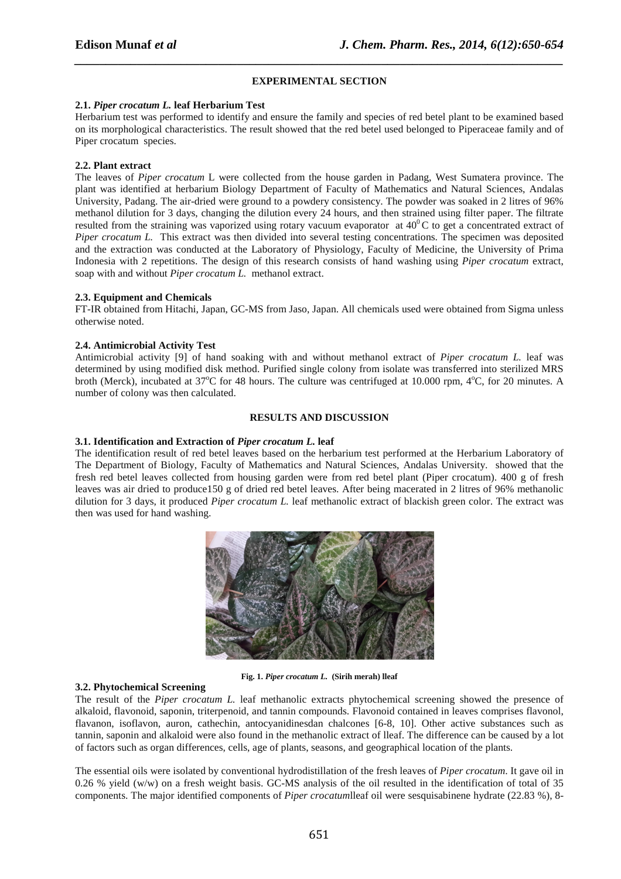#### **EXPERIMENTAL SECTION**

*\_\_\_\_\_\_\_\_\_\_\_\_\_\_\_\_\_\_\_\_\_\_\_\_\_\_\_\_\_\_\_\_\_\_\_\_\_\_\_\_\_\_\_\_\_\_\_\_\_\_\_\_\_\_\_\_\_\_\_\_\_\_\_\_\_\_\_\_\_\_\_\_\_\_\_\_\_\_*

#### **2.1.** *Piper crocatum L.* **leaf Herbarium Test**

Herbarium test was performed to identify and ensure the family and species of red betel plant to be examined based on its morphological characteristics. The result showed that the red betel used belonged to Piperaceae family and of Piper crocatum species.

#### **2.2. Plant extract**

The leaves of *Piper crocatum* L were collected from the house garden in Padang, West Sumatera province. The plant was identified at herbarium Biology Department of Faculty of Mathematics and Natural Sciences, Andalas University, Padang. The air-dried were ground to a powdery consistency. The powder was soaked in 2 litres of 96% methanol dilution for 3 days, changing the dilution every 24 hours, and then strained using filter paper. The filtrate resulted from the straining was vaporized using rotary vacuum evaporator at 40<sup>0</sup>C to get a concentrated extract of *Piper crocatum L.* This extract was then divided into several testing concentrations. The specimen was deposited and the extraction was conducted at the Laboratory of Physiology, Faculty of Medicine, the University of Prima Indonesia with 2 repetitions. The design of this research consists of hand washing using *Piper crocatum* extract, soap with and without *Piper crocatum L.* methanol extract.

#### **2.3. Equipment and Chemicals**

FT-IR obtained from Hitachi, Japan, GC-MS from Jaso, Japan. All chemicals used were obtained from Sigma unless otherwise noted.

#### **2.4. Antimicrobial Activity Test**

Antimicrobial activity [9] of hand soaking with and without methanol extract of *Piper crocatum L.* leaf was determined by using modified disk method. Purified single colony from isolate was transferred into sterilized MRS broth (Merck), incubated at  $37^{\circ}$ C for 48 hours. The culture was centrifuged at 10.000 rpm,  $4^{\circ}$ C, for 20 minutes. A number of colony was then calculated.

#### **RESULTS AND DISCUSSION**

#### **3.1. Identification and Extraction of** *Piper crocatum L.* **leaf**

The identification result of red betel leaves based on the herbarium test performed at the Herbarium Laboratory of The Department of Biology, Faculty of Mathematics and Natural Sciences, Andalas University. showed that the fresh red betel leaves collected from housing garden were from red betel plant (Piper crocatum). 400 g of fresh leaves was air dried to produce150 g of dried red betel leaves. After being macerated in 2 litres of 96% methanolic dilution for 3 days, it produced *Piper crocatum L.* leaf methanolic extract of blackish green color. The extract was then was used for hand washing.



**Fig. 1.** *Piper crocatum L.* **(Sirih merah) lleaf** 

#### **3.2. Phytochemical Screening**

The result of the *Piper crocatum L.* leaf methanolic extracts phytochemical screening showed the presence of alkaloid, flavonoid, saponin, triterpenoid, and tannin compounds. Flavonoid contained in leaves comprises flavonol, flavanon, isoflavon, auron, cathechin, antocyanidinesdan chalcones [6-8, 10]. Other active substances such as tannin, saponin and alkaloid were also found in the methanolic extract of lleaf. The difference can be caused by a lot of factors such as organ differences, cells, age of plants, seasons, and geographical location of the plants.

The essential oils were isolated by conventional hydrodistillation of the fresh leaves of *Piper crocatum*. It gave oil in 0.26 % yield (w/w) on a fresh weight basis. GC-MS analysis of the oil resulted in the identification of total of 35 components. The major identified components of *Piper crocatum*lleaf oil were sesquisabinene hydrate (22.83 %), 8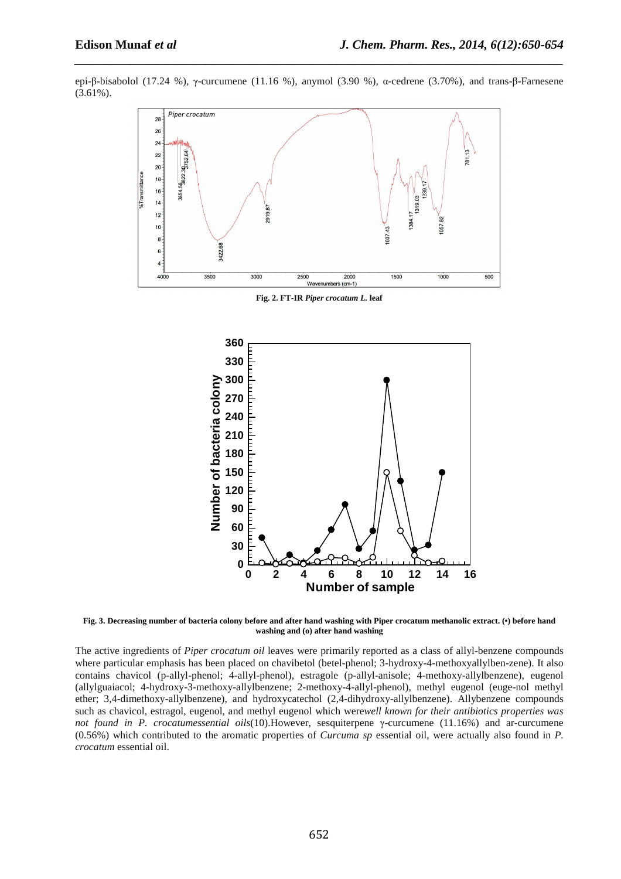epi-β-bisabolol (17.24 %), γ-curcumene (11.16 %), anymol (3.90 %), α-cedrene (3.70%), and trans-β-Farnesene (3.61%).

*\_\_\_\_\_\_\_\_\_\_\_\_\_\_\_\_\_\_\_\_\_\_\_\_\_\_\_\_\_\_\_\_\_\_\_\_\_\_\_\_\_\_\_\_\_\_\_\_\_\_\_\_\_\_\_\_\_\_\_\_\_\_\_\_\_\_\_\_\_\_\_\_\_\_\_\_\_\_*



**Fig. 2. FT-IR** *Piper crocatum L.* **leaf** 



**Fig. 3. Decreasing number of bacteria colony before and after hand washing with Piper crocatum methanolic extract. (•) before hand washing and (o) after hand washing** 

The active ingredients of *Piper crocatum oil* leaves were primarily reported as a class of allyl-benzene compounds where particular emphasis has been placed on chavibetol (betel-phenol; 3-hydroxy-4-methoxyallylben-zene). It also contains chavicol (p-allyl-phenol; 4-allyl-phenol), estragole (p-allyl-anisole; 4-methoxy-allylbenzene), eugenol (allylguaiacol; 4-hydroxy-3-methoxy-allylbenzene; 2-methoxy-4-allyl-phenol), methyl eugenol (euge-nol methyl ether; 3,4-dimethoxy-allylbenzene), and hydroxycatechol (2,4-dihydroxy-allylbenzene). Allybenzene compounds such as chavicol, estragol, eugenol, and methyl eugenol which were*well known for their antibiotics properties was not found in P. crocatumessential oils*(10).However, sesquiterpene γ-curcumene (11.16%) and ar-curcumene (0.56%) which contributed to the aromatic properties of *Curcuma sp* essential oil, were actually also found in *P. crocatum* essential oil.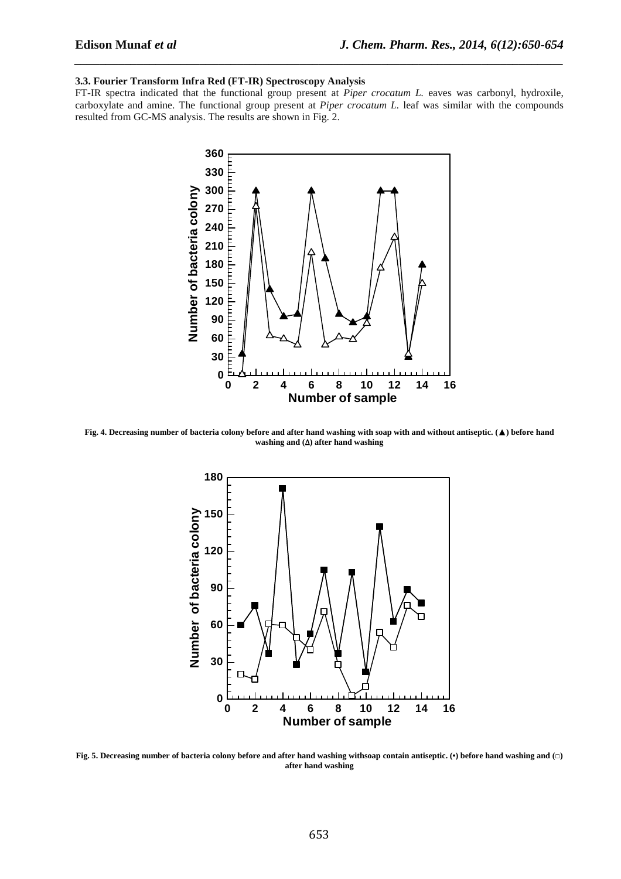#### **3.3. Fourier Transform Infra Red (FT-IR) Spectroscopy Analysis**

FT-IR spectra indicated that the functional group present at *Piper crocatum L.* eaves was carbonyl, hydroxile, carboxylate and amine. The functional group present at *Piper crocatum L.* leaf was similar with the compounds resulted from GC-MS analysis. The results are shown in Fig. 2.

*\_\_\_\_\_\_\_\_\_\_\_\_\_\_\_\_\_\_\_\_\_\_\_\_\_\_\_\_\_\_\_\_\_\_\_\_\_\_\_\_\_\_\_\_\_\_\_\_\_\_\_\_\_\_\_\_\_\_\_\_\_\_\_\_\_\_\_\_\_\_\_\_\_\_\_\_\_\_*



**Fig. 4. Decreasing number of bacteria colony before and after hand washing with soap with and without antiseptic. (**▲**) before hand washing and (**∆**) after hand washing** 



**Fig. 5. Decreasing number of bacteria colony before and after hand washing withsoap contain antiseptic. (•) before hand washing and (□) after hand washing**